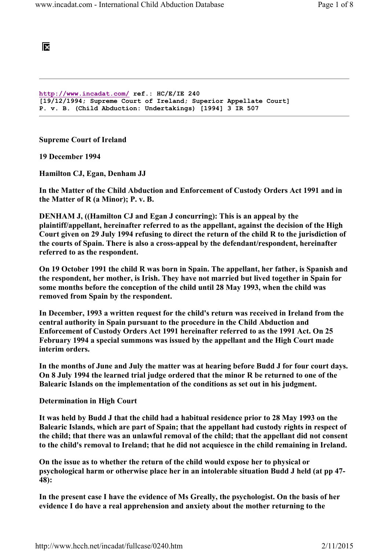**DO** 

```
http://www.incadat.com/ ref.: HC/E/IE 240 
[19/12/1994; Supreme Court of Ireland; Superior Appellate Court] 
P. v. B. (Child Abduction: Undertakings) [1994] 3 IR 507
```
Supreme Court of Ireland

19 December 1994

Hamilton CJ, Egan, Denham JJ

In the Matter of the Child Abduction and Enforcement of Custody Orders Act 1991 and in the Matter of R (a Minor); P. v. B.

DENHAM J, ((Hamilton CJ and Egan J concurring): This is an appeal by the plaintiff/appellant, hereinafter referred to as the appellant, against the decision of the High Court given on 29 July 1994 refusing to direct the return of the child R to the jurisdiction of the courts of Spain. There is also a cross-appeal by the defendant/respondent, hereinafter referred to as the respondent.

On 19 October 1991 the child R was born in Spain. The appellant, her father, is Spanish and the respondent, her mother, is Irish. They have not married but lived together in Spain for some months before the conception of the child until 28 May 1993, when the child was removed from Spain by the respondent.

In December, 1993 a written request for the child's return was received in Ireland from the central authority in Spain pursuant to the procedure in the Child Abduction and Enforcement of Custody Orders Act 1991 hereinafter referred to as the 1991 Act. On 25 February 1994 a special summons was issued by the appellant and the High Court made interim orders.

In the months of June and July the matter was at hearing before Budd J for four court days. On 8 July 1994 the learned trial judge ordered that the minor R be returned to one of the Balearic Islands on the implementation of the conditions as set out in his judgment.

Determination in High Court

It was held by Budd J that the child had a habitual residence prior to 28 May 1993 on the Balearic Islands, which are part of Spain; that the appellant had custody rights in respect of the child; that there was an unlawful removal of the child; that the appellant did not consent to the child's removal to Ireland; that he did not acquiesce in the child remaining in Ireland.

On the issue as to whether the return of the child would expose her to physical or psychological harm or otherwise place her in an intolerable situation Budd J held (at pp 47- 48):

In the present case I have the evidence of Ms Greally, the psychologist. On the basis of her evidence I do have a real apprehension and anxiety about the mother returning to the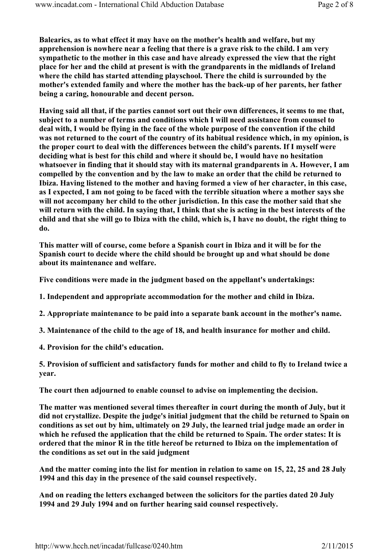Balearics, as to what effect it may have on the mother's health and welfare, but my apprehension is nowhere near a feeling that there is a grave risk to the child. I am very sympathetic to the mother in this case and have already expressed the view that the right place for her and the child at present is with the grandparents in the midlands of Ireland where the child has started attending playschool. There the child is surrounded by the mother's extended family and where the mother has the back-up of her parents, her father being a caring, honourable and decent person.

Having said all that, if the parties cannot sort out their own differences, it seems to me that, subject to a number of terms and conditions which I will need assistance from counsel to deal with, I would be flying in the face of the whole purpose of the convention if the child was not returned to the court of the country of its habitual residence which, in my opinion, is the proper court to deal with the differences between the child's parents. If I myself were deciding what is best for this child and where it should be, I would have no hesitation whatsoever in finding that it should stay with its maternal grandparents in A. However, I am compelled by the convention and by the law to make an order that the child be returned to Ibiza. Having listened to the mother and having formed a view of her character, in this case, as I expected, I am not going to be faced with the terrible situation where a mother says she will not accompany her child to the other jurisdiction. In this case the mother said that she will return with the child. In saying that, I think that she is acting in the best interests of the child and that she will go to Ibiza with the child, which is, I have no doubt, the right thing to do.

This matter will of course, come before a Spanish court in Ibiza and it will be for the Spanish court to decide where the child should be brought up and what should be done about its maintenance and welfare.

Five conditions were made in the judgment based on the appellant's undertakings:

1. Independent and appropriate accommodation for the mother and child in Ibiza.

2. Appropriate maintenance to be paid into a separate bank account in the mother's name.

3. Maintenance of the child to the age of 18, and health insurance for mother and child.

4. Provision for the child's education.

5. Provision of sufficient and satisfactory funds for mother and child to fly to Ireland twice a year.

The court then adjourned to enable counsel to advise on implementing the decision.

The matter was mentioned several times thereafter in court during the month of July, but it did not crystallize. Despite the judge's initial judgment that the child be returned to Spain on conditions as set out by him, ultimately on 29 July, the learned trial judge made an order in which he refused the application that the child be returned to Spain. The order states: It is ordered that the minor R in the title hereof be returned to Ibiza on the implementation of the conditions as set out in the said judgment

And the matter coming into the list for mention in relation to same on 15, 22, 25 and 28 July 1994 and this day in the presence of the said counsel respectively.

And on reading the letters exchanged between the solicitors for the parties dated 20 July 1994 and 29 July 1994 and on further hearing said counsel respectively.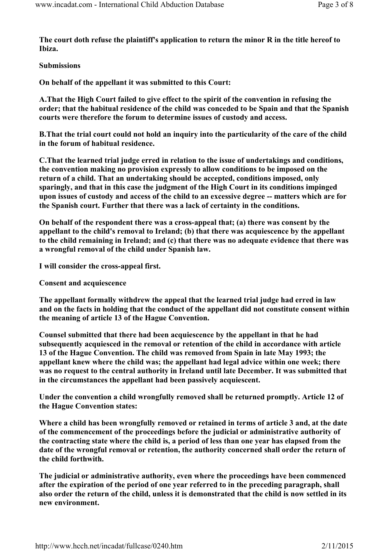The court doth refuse the plaintiff's application to return the minor R in the title hereof to Ibiza.

#### Submissions

On behalf of the appellant it was submitted to this Court:

A.That the High Court failed to give effect to the spirit of the convention in refusing the order; that the habitual residence of the child was conceded to be Spain and that the Spanish courts were therefore the forum to determine issues of custody and access.

B.That the trial court could not hold an inquiry into the particularity of the care of the child in the forum of habitual residence.

C.That the learned trial judge erred in relation to the issue of undertakings and conditions, the convention making no provision expressly to allow conditions to be imposed on the return of a child. That an undertaking should be accepted, conditions imposed, only sparingly, and that in this case the judgment of the High Court in its conditions impinged upon issues of custody and access of the child to an excessive degree -- matters which are for the Spanish court. Further that there was a lack of certainty in the conditions.

On behalf of the respondent there was a cross-appeal that; (a) there was consent by the appellant to the child's removal to Ireland; (b) that there was acquiescence by the appellant to the child remaining in Ireland; and (c) that there was no adequate evidence that there was a wrongful removal of the child under Spanish law.

I will consider the cross-appeal first.

Consent and acquiescence

The appellant formally withdrew the appeal that the learned trial judge had erred in law and on the facts in holding that the conduct of the appellant did not constitute consent within the meaning of article 13 of the Hague Convention.

Counsel submitted that there had been acquiescence by the appellant in that he had subsequently acquiesced in the removal or retention of the child in accordance with article 13 of the Hague Convention. The child was removed from Spain in late May 1993; the appellant knew where the child was; the appellant had legal advice within one week; there was no request to the central authority in Ireland until late December. It was submitted that in the circumstances the appellant had been passively acquiescent.

Under the convention a child wrongfully removed shall be returned promptly. Article 12 of the Hague Convention states:

Where a child has been wrongfully removed or retained in terms of article 3 and, at the date of the commencement of the proceedings before the judicial or administrative authority of the contracting state where the child is, a period of less than one year has elapsed from the date of the wrongful removal or retention, the authority concerned shall order the return of the child forthwith.

The judicial or administrative authority, even where the proceedings have been commenced after the expiration of the period of one year referred to in the preceding paragraph, shall also order the return of the child, unless it is demonstrated that the child is now settled in its new environment.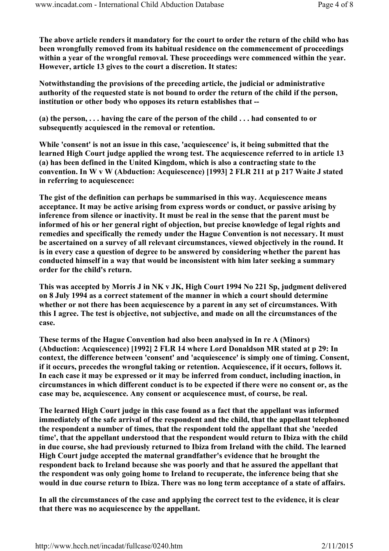The above article renders it mandatory for the court to order the return of the child who has been wrongfully removed from its habitual residence on the commencement of proceedings within a year of the wrongful removal. These proceedings were commenced within the year. However, article 13 gives to the court a discretion. It states:

Notwithstanding the provisions of the preceding article, the judicial or administrative authority of the requested state is not bound to order the return of the child if the person, institution or other body who opposes its return establishes that --

(a) the person, . . . having the care of the person of the child . . . had consented to or subsequently acquiesced in the removal or retention.

While 'consent' is not an issue in this case, 'acquiescence' is, it being submitted that the learned High Court judge applied the wrong test. The acquiescence referred to in article 13 (a) has been defined in the United Kingdom, which is also a contracting state to the convention. In W v W (Abduction: Acquiescence) [1993] 2 FLR 211 at p 217 Waite J stated in referring to acquiescence:

The gist of the definition can perhaps be summarised in this way. Acquiescence means acceptance. It may be active arising from express words or conduct, or passive arising by inference from silence or inactivity. It must be real in the sense that the parent must be informed of his or her general right of objection, but precise knowledge of legal rights and remedies and specifically the remedy under the Hague Convention is not necessary. It must be ascertained on a survey of all relevant circumstances, viewed objectively in the round. It is in every case a question of degree to be answered by considering whether the parent has conducted himself in a way that would be inconsistent with him later seeking a summary order for the child's return.

This was accepted by Morris J in NK v JK, High Court 1994 No 221 Sp, judgment delivered on 8 July 1994 as a correct statement of the manner in which a court should determine whether or not there has been acquiescence by a parent in any set of circumstances. With this I agree. The test is objective, not subjective, and made on all the circumstances of the case.

These terms of the Hague Convention had also been analysed in In re A (Minors) (Abduction: Acquiescence) [1992] 2 FLR 14 where Lord Donaldson MR stated at p 29: In context, the difference between 'consent' and 'acquiescence' is simply one of timing. Consent, if it occurs, precedes the wrongful taking or retention. Acquiescence, if it occurs, follows it. In each case it may be expressed or it may be inferred from conduct, including inaction, in circumstances in which different conduct is to be expected if there were no consent or, as the case may be, acquiescence. Any consent or acquiescence must, of course, be real.

The learned High Court judge in this case found as a fact that the appellant was informed immediately of the safe arrival of the respondent and the child, that the appellant telephoned the respondent a number of times, that the respondent told the appellant that she 'needed time', that the appellant understood that the respondent would return to Ibiza with the child in due course, she had previously returned to Ibiza from Ireland with the child. The learned High Court judge accepted the maternal grandfather's evidence that he brought the respondent back to Ireland because she was poorly and that he assured the appellant that the respondent was only going home to Ireland to recuperate, the inference being that she would in due course return to Ibiza. There was no long term acceptance of a state of affairs.

In all the circumstances of the case and applying the correct test to the evidence, it is clear that there was no acquiescence by the appellant.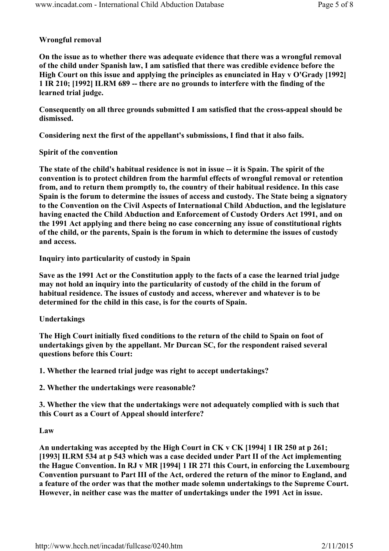## Wrongful removal

On the issue as to whether there was adequate evidence that there was a wrongful removal of the child under Spanish law, I am satisfied that there was credible evidence before the High Court on this issue and applying the principles as enunciated in Hay v O'Grady [1992] 1 IR 210; [1992] ILRM 689 -- there are no grounds to interfere with the finding of the learned trial judge.

Consequently on all three grounds submitted I am satisfied that the cross-appeal should be dismissed.

Considering next the first of the appellant's submissions, I find that it also fails.

### Spirit of the convention

The state of the child's habitual residence is not in issue -- it is Spain. The spirit of the convention is to protect children from the harmful effects of wrongful removal or retention from, and to return them promptly to, the country of their habitual residence. In this case Spain is the forum to determine the issues of access and custody. The State being a signatory to the Convention on the Civil Aspects of International Child Abduction, and the legislature having enacted the Child Abduction and Enforcement of Custody Orders Act 1991, and on the 1991 Act applying and there being no case concerning any issue of constitutional rights of the child, or the parents, Spain is the forum in which to determine the issues of custody and access.

Inquiry into particularity of custody in Spain

Save as the 1991 Act or the Constitution apply to the facts of a case the learned trial judge may not hold an inquiry into the particularity of custody of the child in the forum of habitual residence. The issues of custody and access, wherever and whatever is to be determined for the child in this case, is for the courts of Spain.

# Undertakings

The High Court initially fixed conditions to the return of the child to Spain on foot of undertakings given by the appellant. Mr Durcan SC, for the respondent raised several questions before this Court:

1. Whether the learned trial judge was right to accept undertakings?

2. Whether the undertakings were reasonable?

3. Whether the view that the undertakings were not adequately complied with is such that this Court as a Court of Appeal should interfere?

#### Law

An undertaking was accepted by the High Court in CK v CK [1994] 1 IR 250 at p 261; [1993] ILRM 534 at p 543 which was a case decided under Part II of the Act implementing the Hague Convention. In RJ v MR [1994] 1 IR 271 this Court, in enforcing the Luxembourg Convention pursuant to Part III of the Act, ordered the return of the minor to England, and a feature of the order was that the mother made solemn undertakings to the Supreme Court. However, in neither case was the matter of undertakings under the 1991 Act in issue.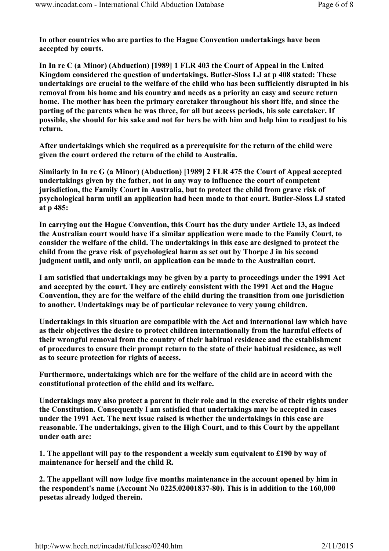In other countries who are parties to the Hague Convention undertakings have been accepted by courts.

In In re C (a Minor) (Abduction) [1989] 1 FLR 403 the Court of Appeal in the United Kingdom considered the question of undertakings. Butler-Sloss LJ at p 408 stated: These undertakings are crucial to the welfare of the child who has been sufficiently disrupted in his removal from his home and his country and needs as a priority an easy and secure return home. The mother has been the primary caretaker throughout his short life, and since the parting of the parents when he was three, for all but access periods, his sole caretaker. If possible, she should for his sake and not for hers be with him and help him to readjust to his return.

After undertakings which she required as a prerequisite for the return of the child were given the court ordered the return of the child to Australia.

Similarly in In re G (a Minor) (Abduction) [1989] 2 FLR 475 the Court of Appeal accepted undertakings given by the father, not in any way to influence the court of competent jurisdiction, the Family Court in Australia, but to protect the child from grave risk of psychological harm until an application had been made to that court. Butler-Sloss LJ stated at p 485:

In carrying out the Hague Convention, this Court has the duty under Article 13, as indeed the Australian court would have if a similar application were made to the Family Court, to consider the welfare of the child. The undertakings in this case are designed to protect the child from the grave risk of psychological harm as set out by Thorpe J in his second judgment until, and only until, an application can be made to the Australian court.

I am satisfied that undertakings may be given by a party to proceedings under the 1991 Act and accepted by the court. They are entirely consistent with the 1991 Act and the Hague Convention, they are for the welfare of the child during the transition from one jurisdiction to another. Undertakings may be of particular relevance to very young children.

Undertakings in this situation are compatible with the Act and international law which have as their objectives the desire to protect children internationally from the harmful effects of their wrongful removal from the country of their habitual residence and the establishment of procedures to ensure their prompt return to the state of their habitual residence, as well as to secure protection for rights of access.

Furthermore, undertakings which are for the welfare of the child are in accord with the constitutional protection of the child and its welfare.

Undertakings may also protect a parent in their role and in the exercise of their rights under the Constitution. Consequently I am satisfied that undertakings may be accepted in cases under the 1991 Act. The next issue raised is whether the undertakings in this case are reasonable. The undertakings, given to the High Court, and to this Court by the appellant under oath are:

1. The appellant will pay to the respondent a weekly sum equivalent to £190 by way of maintenance for herself and the child R.

2. The appellant will now lodge five months maintenance in the account opened by him in the respondent's name (Account No 0225.02001837-80). This is in addition to the 160,000 pesetas already lodged therein.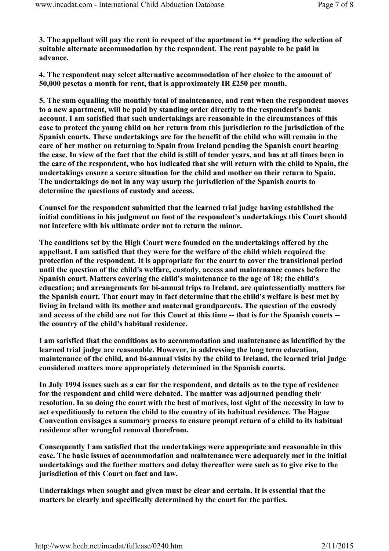3. The appellant will pay the rent in respect of the apartment in \*\* pending the selection of suitable alternate accommodation by the respondent. The rent payable to be paid in advance.

4. The respondent may select alternative accommodation of her choice to the amount of 50,000 pesetas a month for rent, that is approximately IR £250 per month.

5. The sum equalling the monthly total of maintenance, and rent when the respondent moves to a new apartment, will be paid by standing order directly to the respondent's bank account. I am satisfied that such undertakings are reasonable in the circumstances of this case to protect the young child on her return from this jurisdiction to the jurisdiction of the Spanish courts. These undertakings are for the benefit of the child who will remain in the care of her mother on returning to Spain from Ireland pending the Spanish court hearing the case. In view of the fact that the child is still of tender years, and has at all times been in the care of the respondent, who has indicated that she will return with the child to Spain, the undertakings ensure a secure situation for the child and mother on their return to Spain. The undertakings do not in any way usurp the jurisdiction of the Spanish courts to determine the questions of custody and access.

Counsel for the respondent submitted that the learned trial judge having established the initial conditions in his judgment on foot of the respondent's undertakings this Court should not interfere with his ultimate order not to return the minor.

The conditions set by the High Court were founded on the undertakings offered by the appellant. I am satisfied that they were for the welfare of the child which required the protection of the respondent. It is appropriate for the court to cover the transitional period until the question of the child's welfare, custody, access and maintenance comes before the Spanish court. Matters covering the child's maintenance to the age of 18; the child's education; and arrangements for bi-annual trips to Ireland, are quintessentially matters for the Spanish court. That court may in fact determine that the child's welfare is best met by living in Ireland with its mother and maternal grandparents. The question of the custody and access of the child are not for this Court at this time -- that is for the Spanish courts - the country of the child's habitual residence.

I am satisfied that the conditions as to accommodation and maintenance as identified by the learned trial judge are reasonable. However, in addressing the long term education, maintenance of the child, and bi-annual visits by the child to Ireland, the learned trial judge considered matters more appropriately determined in the Spanish courts.

In July 1994 issues such as a car for the respondent, and details as to the type of residence for the respondent and child were debated. The matter was adjourned pending their resolution. In so doing the court with the best of motives, lost sight of the necessity in law to act expeditiously to return the child to the country of its habitual residence. The Hague Convention envisages a summary process to ensure prompt return of a child to its habitual residence after wrongful removal therefrom.

Consequently I am satisfied that the undertakings were appropriate and reasonable in this case. The basic issues of accommodation and maintenance were adequately met in the initial undertakings and the further matters and delay thereafter were such as to give rise to the jurisdiction of this Court on fact and law.

Undertakings when sought and given must be clear and certain. It is essential that the matters be clearly and specifically determined by the court for the parties.